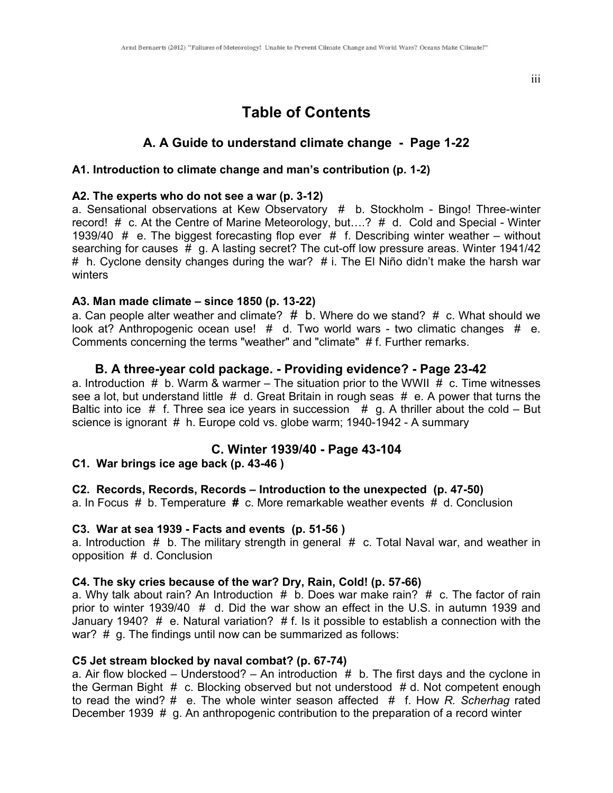iii

# **Table of Contents**

# **A. A Guide to understand climate change - Page 1-22**

#### **A1. Introduction to climate change and man's contribution (p. 1-2)**

#### **A2. The experts who do not see a war (p. 3-12)**

a. Sensational observations at Kew Observatory # b. Stockholm - Bingo! Three-winter record! # c. At the Centre of Marine Meteorology, but….? # d. Cold and Special - Winter 1939/40  $\#$  e. The biggest forecasting flop ever  $\#$  f. Describing winter weather – without searching for causes # g. A lasting secret? The cut-off low pressure areas. Winter 1941/42 # h. Cyclone density changes during the war?  $#$  i. The El Niño didn't make the harsh war winters

#### **A3. Man made climate – since 1850 (p. 13-22)**

a. Can people alter weather and climate?  $#$  b. Where do we stand?  $#$  c. What should we look at? Anthropogenic ocean use! # d. Two world wars - two climatic changes # e. Comments concerning the terms "weather" and "climate" # f. Further remarks.

#### **B. A three-year cold package. - Providing evidence? - Page 23-42**

a. Introduction  $\#$  b. Warm & warmer – The situation prior to the WWII  $\#$  c. Time witnesses see a lot, but understand little  $# d$ . Great Britain in rough seas  $# e$ . A power that turns the Baltic into ice  $#$  f. Three sea ice years in succession  $#$  g. A thriller about the cold – But science is ignorant # h. Europe cold vs. globe warm; 1940-1942 - A summary

# **C. Winter 1939/40 - Page 43-104**

## **C1. War brings ice age back (p. 43-46 )**

#### **C2. Records, Records, Records – Introduction to the unexpected (p. 47-50)**

a. In Focus # b. Temperature **#** c. More remarkable weather events # d. Conclusion

#### **C3. War at sea 1939 - Facts and events (p. 51-56 )**

a. Introduction  $#$  b. The military strength in general  $#$  c. Total Naval war, and weather in opposition # d. Conclusion

#### **C4. The sky cries because of the war? Dry, Rain, Cold! (p. 57-66)**

a. Why talk about rain? An Introduction  $#$  b. Does war make rain?  $#$  c. The factor of rain prior to winter 1939/40 # d. Did the war show an effect in the U.S. in autumn 1939 and January 1940? # e. Natural variation? # f. Is it possible to establish a connection with the war? # g. The findings until now can be summarized as follows:

#### **C5 Jet stream blocked by naval combat? (p. 67-74)**

a. Air flow blocked – Understood? – An introduction  $#$  b. The first days and the cyclone in the German Bight # c. Blocking observed but not understood # d. Not competent enough to read the wind? # e. The whole winter season affected # f. How *R. Scherhag* rated December 1939 # g. An anthropogenic contribution to the preparation of a record winter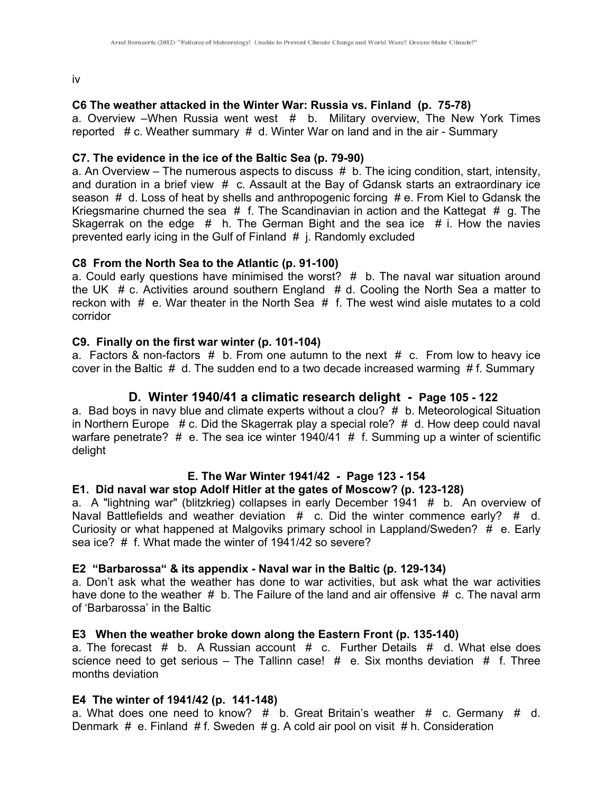iv

## **C6 The weather attacked in the Winter War: Russia vs. Finland (p. 75-78)**

a. Overview –When Russia went west # b. Military overview, The New York Times reported# c. Weather summary # d. Winter War on land and in the air - Summary

#### **C7. The evidence in the ice of the Baltic Sea (p. 79-90)**

a. An Overview – The numerous aspects to discuss  $# b$ . The icing condition, start, intensity, and duration in a brief view  $# c.$  Assault at the Bay of Gdansk starts an extraordinary ice season  $# d$ . Loss of heat by shells and anthropogenic forcing  $# e$ . From Kiel to Gdansk the Kriegsmarine churned the sea  $#$  f. The Scandinavian in action and the Kattegat  $#$  g. The Skagerrak on the edge  $#$  h. The German Bight and the sea ice  $#$  i. How the navies prevented early icing in the Gulf of Finland # j. Randomly excluded

#### **C8 From the North Sea to the Atlantic (p. 91-100)**

a. Could early questions have minimised the worst?  $#$  b. The naval war situation around the UK  $# c$ . Activities around southern England  $# d$ . Cooling the North Sea a matter to reckon with  $#$  e. War theater in the North Sea  $#$  f. The west wind aisle mutates to a cold corridor

#### **C9. Finally on the first war winter (p. 101-104)**

a. Factors & non-factors  $#$  b. From one autumn to the next  $#$  c. From low to heavy ice cover in the Baltic  $# d$ . The sudden end to a two decade increased warming  $# f$ . Summary

## **D. Winter 1940/41 a climatic research delight - Page 105 - 122**

a. Bad boys in navy blue and climate experts without a clou?  $#$  b. Meteorological Situation in Northern Europe  $# c$ . Did the Skagerrak play a special role?  $# d$ . How deep could naval warfare penetrate?  $#$  e. The sea ice winter 1940/41  $#$  f. Summing up a winter of scientific delight

## **E. The War Winter 1941/42 - Page 123 - 154**

# **E1. Did naval war stop Adolf Hitler at the gates of Moscow? (p. 123-128)**

a. A "lightning war" (blitzkrieg) collapses in early December 1941 # b. An overview of Naval Battlefields and weather deviation # c. Did the winter commence early? # d. Curiosity or what happened at Malgoviks primary school in Lappland/Sweden?  $\#$  e. Early sea ice? # f. What made the winter of 1941/42 so severe?

#### **E2 "Barbarossa" & its appendix - Naval war in the Baltic (p. 129-134)**

a. Don't ask what the weather has done to war activities, but ask what the war activities have done to the weather  $# b$ . The Failure of the land and air offensive  $# c$ . The naval arm of 'Barbarossa' in the Baltic

#### **E3 When the weather broke down along the Eastern Front (p. 135-140)**

a. The forecast # b. A Russian account # c. Further Details #d. What else does science need to get serious – The Tallinn case!  $#$  e. Six months deviation  $#$  f. Three months deviation

#### **E4 The winter of 1941/42 (p. 141-148)**

a. What does one need to know?  $#$  b. Great Britain's weather  $#$  c. Germany  $#$  d. Denmark # e. Finland # f. Sweden # g. A cold air pool on visit # h. Consideration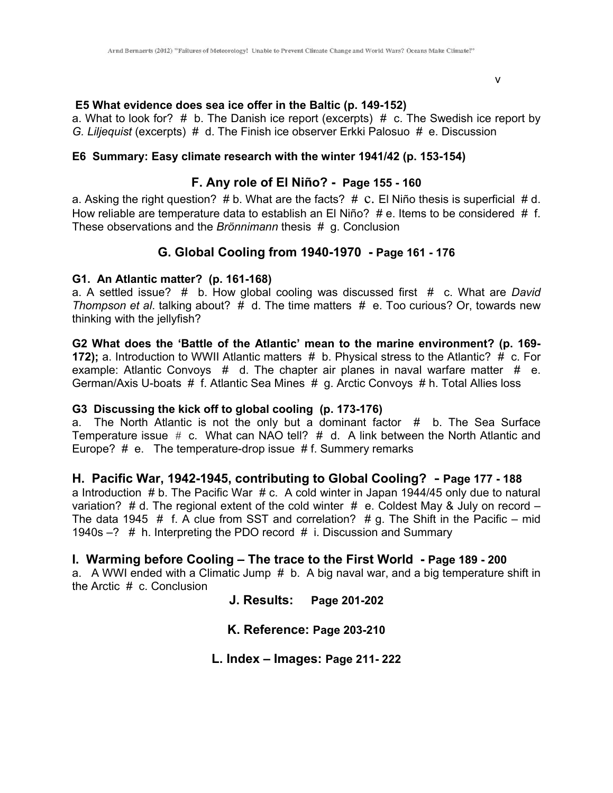v<sub>v</sub>

#### **E5 What evidence does sea ice offer in the Baltic (p. 149-152)**

a. What to look for?  $#$  b. The Danish ice report (excerpts)  $#$  c. The Swedish ice report by *G. Liljequist* (excerpts) # d. The Finish ice observer Erkki Palosuo #e. Discussion

#### **E6 Summary: Easy climate research with the winter 1941/42 (p. 153-154)**

## **F. Any role of El Niño? - Page 155 - 160**

a. Asking the right question?  $# b$ . What are the facts?  $# c$ . El Niño thesis is superficial  $# d$ . How reliable are temperature data to establish an El Niño?  $#e$ . Items to be considered  $#f$ . These observations and the *Brönnimann* thesis # g. Conclusion

# **G. Global Cooling from 1940-1970 - Page 161 - 176**

#### **G1. An Atlantic matter? (p. 161-168)**

a. A settled issue? # b. How global cooling was discussed first # c. What are *David Thompson et al*. talking about? # d. The time matters # e. Too curious? Or, towards new thinking with the jellyfish?

**G2 What does the 'Battle of the Atlantic' mean to the marine environment? (p. 169- 172);** a. Introduction to WWII Atlantic matters # b. Physical stress to the Atlantic? # c. For example: Atlantic Convoys  $# d$ . The chapter air planes in naval warfare matter  $# e$ . German/Axis U-boats # f. Atlantic Sea Mines # g. Arctic Convoys # h. Total Allies loss

#### **G3 Discussing the kick off to global cooling (p. 173-176)**

a. The North Atlantic is not the only but a dominant factor  $#$  b. The Sea Surface Temperature issue  $# c.$  What can NAO tell?  $# d.$  A link between the North Atlantic and Europe? # e. The temperature-drop issue # f. Summery remarks

## **H. Pacific War, 1942-1945, contributing to Global Cooling? - Page 177 - 188**

a Introduction  $# b$ . The Pacific War  $# c$ . A cold winter in Japan 1944/45 only due to natural variation? # d. The regional extent of the cold winter  $#e$ . Coldest May & July on record – The data 1945  $#$  f. A clue from SST and correlation?  $# g$ . The Shift in the Pacific – mid 1940s –? # h. Interpreting the PDO record # i. Discussion and Summary

## **I. Warming before Cooling – The trace to the First World - Page 189 - 200**

a. A WWI ended with a Climatic Jump #b. A big naval war, and a big temperature shift in the Arctic # c. Conclusion

**J. Results: Page 201-202** 

**K. Reference: Page 203-210** 

**L. Index – Images: Page 211- 222**